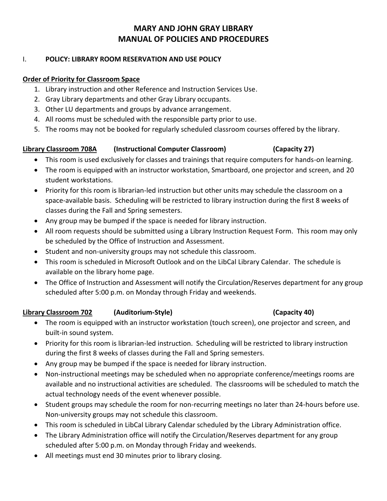## I. **POLICY: LIBRARY ROOM RESERVATION AND USE POLICY**

## **Order of Priority for Classroom Space**

- 1. Library instruction and other Reference and Instruction Services Use.
- 2. Gray Library departments and other Gray Library occupants.
- 3. Other LU departments and groups by advance arrangement.
- 4. All rooms must be scheduled with the responsible party prior to use.
- 5. The rooms may not be booked for regularly scheduled classroom courses offered by the library.

# **Library Classroom 708A (Instructional Computer Classroom) (Capacity 27)**

- This room is used exclusively for classes and trainings that require computers for hands-on learning.
- The room is equipped with an instructor workstation, Smartboard, one projector and screen, and 20 student workstations.
- Priority for this room is librarian-led instruction but other units may schedule the classroom on a space-available basis. Scheduling will be restricted to library instruction during the first 8 weeks of classes during the Fall and Spring semesters.
- Any group may be bumped if the space is needed for library instruction.
- All room requests should be submitted using a Library Instruction Request Form. This room may only be scheduled by the Office of Instruction and Assessment.
- Student and non-university groups may not schedule this classroom.
- This room is scheduled in Microsoft Outlook and on the LibCal Library Calendar. The schedule is available on the library home page.
- The Office of Instruction and Assessment will notify the Circulation/Reserves department for any group scheduled after 5:00 p.m. on Monday through Friday and weekends.

## **Library Classroom 702 (Auditorium-Style) (Capacity 40)**

- The room is equipped with an instructor workstation (touch screen), one projector and screen, and built-in sound system.
- Priority for this room is librarian-led instruction. Scheduling will be restricted to library instruction during the first 8 weeks of classes during the Fall and Spring semesters.
- Any group may be bumped if the space is needed for library instruction.
- Non-instructional meetings may be scheduled when no appropriate conference/meetings rooms are available and no instructional activities are scheduled. The classrooms will be scheduled to match the actual technology needs of the event whenever possible.
- Student groups may schedule the room for non-recurring meetings no later than 24-hours before use. Non-university groups may not schedule this classroom.
- This room is scheduled in LibCal Library Calendar scheduled by the Library Administration office.
- The Library Administration office will notify the Circulation/Reserves department for any group scheduled after 5:00 p.m. on Monday through Friday and weekends.
- All meetings must end 30 minutes prior to library closing.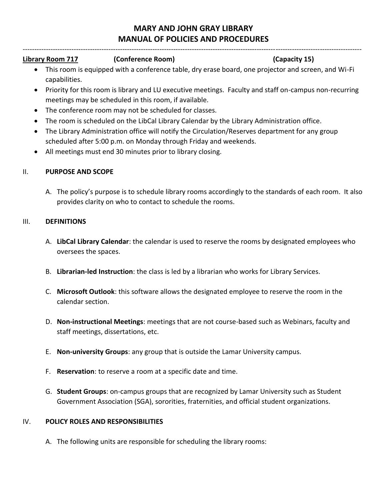--------------------------------------------------------------------------------------------------------------------------------------------------

## **Library Room 717 (Conference Room) (Capacity 15)**

- This room is equipped with a conference table, dry erase board, one projector and screen, and Wi-Fi capabilities.
- Priority for this room is library and LU executive meetings. Faculty and staff on-campus non-recurring meetings may be scheduled in this room, if available.
- The conference room may not be scheduled for classes.
- The room is scheduled on the LibCal Library Calendar by the Library Administration office.
- The Library Administration office will notify the Circulation/Reserves department for any group scheduled after 5:00 p.m. on Monday through Friday and weekends.
- All meetings must end 30 minutes prior to library closing.

## II. **PURPOSE AND SCOPE**

A. The policy's purpose is to schedule library rooms accordingly to the standards of each room. It also provides clarity on who to contact to schedule the rooms.

### III. **DEFINITIONS**

- A. **LibCal Library Calendar**: the calendar is used to reserve the rooms by designated employees who oversees the spaces.
- B. **Librarian-led Instruction**: the class is led by a librarian who works for Library Services.
- C. **Microsoft Outlook**: this software allows the designated employee to reserve the room in the calendar section.
- D. **Non-instructional Meetings**: meetings that are not course-based such as Webinars, faculty and staff meetings, dissertations, etc.
- E. **Non-university Groups**: any group that is outside the Lamar University campus.
- F. **Reservation**: to reserve a room at a specific date and time.
- G. **Student Groups**: on-campus groups that are recognized by Lamar University such as Student Government Association (SGA), sororities, fraternities, and official student organizations.

## IV. **POLICY ROLES AND RESPONSIBILITIES**

A. The following units are responsible for scheduling the library rooms: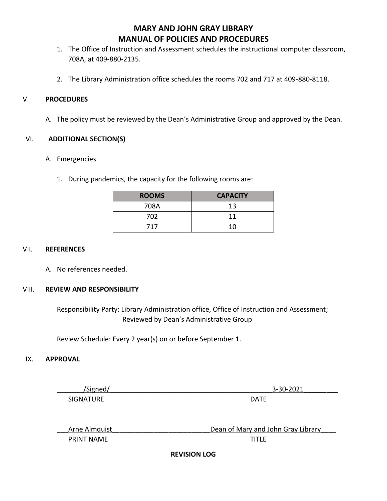- 1. The Office of Instruction and Assessment schedules the instructional computer classroom, 708A, at 409-880-2135.
- 2. The Library Administration office schedules the rooms 702 and 717 at 409-880-8118.

### V. **PROCEDURES**

A. The policy must be reviewed by the Dean's Administrative Group and approved by the Dean.

### VI. **ADDITIONAL SECTION(S)**

#### A. Emergencies

1. During pandemics, the capacity for the following rooms are:

| <b>ROOMS</b> | <b>CAPACITY</b> |
|--------------|-----------------|
| 708A         | 13              |
| 702          | 11              |
| 717          | 10              |

#### VII. **REFERENCES**

A. No references needed.

### VIII. **REVIEW AND RESPONSIBILITY**

 Responsibility Party: Library Administration office, Office of Instruction and Assessment; Reviewed by Dean's Administrative Group

Review Schedule: Every 2 year(s) on or before September 1.

### IX. **APPROVAL**

| /Signed/          | 3-30-2021                          |
|-------------------|------------------------------------|
| <b>SIGNATURE</b>  | DATE                               |
|                   |                                    |
| Arne Almquist     | Dean of Mary and John Gray Library |
| <b>PRINT NAME</b> | <b>TITLE</b>                       |

**REVISION LOG**